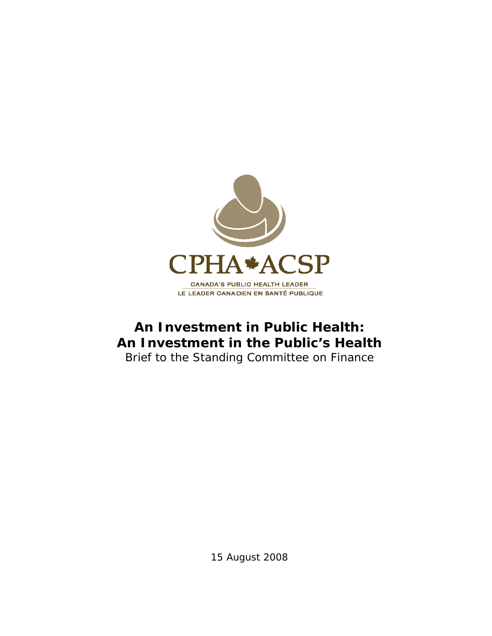

# **An Investment in Public Health: An Investment in the Public's Health**

Brief to the Standing Committee on Finance

15 August 2008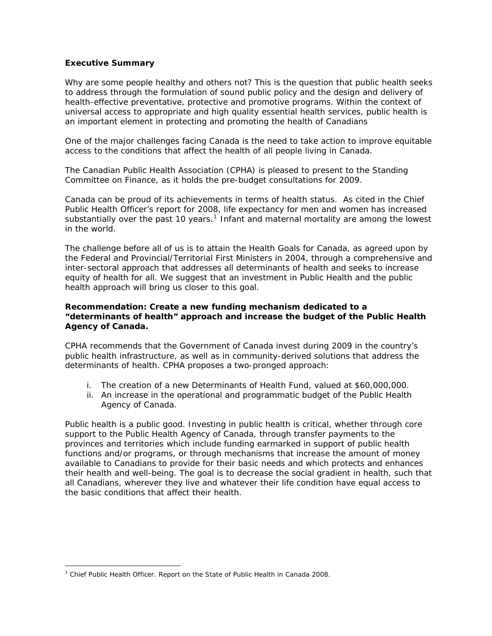## **Executive Summary**

Why are some people healthy and others not? This is the question that public health seeks to address through the formulation of sound public policy and the design and delivery of health-effective preventative, protective and promotive programs. Within the context of universal access to appropriate and high quality essential health services, public health is an important element in protecting and promoting the health of Canadians

One of the major challenges facing Canada is the need to take action to improve equitable access to the conditions that affect the health of all people living in Canada.

The Canadian Public Health Association (CPHA) is pleased to present to the Standing Committee on Finance, as it holds the pre-budget consultations for 2009.

Canada can be proud of its achievements in terms of health status. As cited in the Chief Public Health Officer's report for 2008, life expectancy for men and women has increased substantially over the past [1](#page-1-0)0 years.<sup>1</sup> Infant and maternal mortality are among the lowest in the world.

The challenge before all of us is to attain the *Health Goals for Canada*, as agreed upon by the Federal and Provincial/Territorial First Ministers in 2004, through a comprehensive and inter-sectoral approach that addresses all determinants of health and seeks to increase equity of health for all. We suggest that an investment in Public Health and the public health approach will bring us closer to this goal.

## *Recommendation: Create a new funding mechanism dedicated to a "determinants of health" approach and increase the budget of the Public Health Agency of Canada.*

CPHA recommends that the Government of Canada invest during 2009 in the country's public health infrastructure, as well as in community-derived solutions that address the determinants of health. CPHA proposes a two-pronged approach:

- i. The creation of a new Determinants of Health Fund, valued at \$60,000,000.
- ii. An increase in the operational and programmatic budget of the Public Health Agency of Canada.

Public health is a public good. Investing in public health is critical, whether through core support to the Public Health Agency of Canada, through transfer payments to the provinces and territories which include funding earmarked in support of public health functions and/or programs, or through mechanisms that increase the amount of money available to Canadians to provide for their basic needs and which protects and enhances their health and well-being. The goal is to decrease the social gradient in health, such that all Canadians, wherever they live and whatever their life condition have equal access to the basic conditions that affect their health

 $\overline{a}$ 

<span id="page-1-0"></span><sup>&</sup>lt;sup>1</sup> Chief Public Health Officer. Report on the State of Public Health in Canada 2008.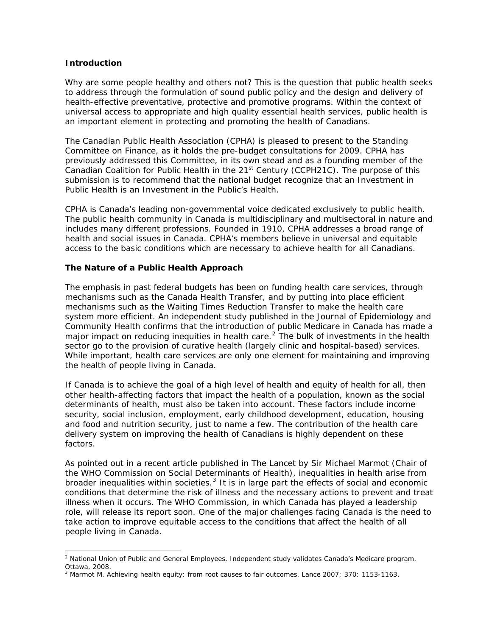#### **Introduction**

 $\overline{a}$ 

Why are some people healthy and others not? This is the question that public health seeks to address through the formulation of sound public policy and the design and delivery of health-effective preventative, protective and promotive programs. Within the context of universal access to appropriate and high quality essential health services, public health is an important element in protecting and promoting the health of Canadians.

The Canadian Public Health Association (CPHA) is pleased to present to the Standing Committee on Finance, as it holds the pre-budget consultations for 2009. CPHA has previously addressed this Committee, in its own stead and as a founding member of the Canadian Coalition for Public Health in the  $21<sup>st</sup>$  Century (CCPH21C). The purpose of this submission is to recommend that the national budget recognize that *an Investment in Public Health is an Investment in the Public's Health*.

CPHA is Canada's leading non-governmental voice dedicated exclusively to public health. The public health community in Canada is multidisciplinary and multisectoral in nature and includes many different professions. Founded in 1910, CPHA addresses a broad range of health and social issues in Canada. CPHA's members believe in universal and equitable access to the basic conditions which are necessary to achieve health for all Canadians.

# **The Nature of a Public Health Approach**

The emphasis in past federal budgets has been on funding health care services, through mechanisms such as the Canada Health Transfer, and by putting into place efficient mechanisms such as the Waiting Times Reduction Transfer to make the health care system more efficient. An independent study published in the Journal of Epidemiology and Community Health confirms that the introduction of public Medicare in Canada has made a major impact on reducing inequities in health care.<sup>[2](#page-2-0)</sup> The bulk of investments in the health sector go to the provision of curative health (largely clinic and hospital-based) services. While important, health care services are only one element for maintaining and improving the health of people living in Canada.

If Canada is to achieve the goal of a high level of health and equity of health for all, then other health-affecting factors that impact the health of a population, known as the social determinants of health, must also be taken into account. These factors include income security, social inclusion, employment, early childhood development, education, housing and food and nutrition security, just to name a few. The contribution of the health care delivery system on improving the health of Canadians is highly dependent on these factors.

As pointed out in a recent article published in The Lancet by Sir Michael Marmot (Chair of the WHO Commission on Social Determinants of Health), inequalities in health arise from broader inequalities within societies. $<sup>3</sup>$  $<sup>3</sup>$  $<sup>3</sup>$  It is in large part the effects of social and economic</sup> conditions that determine the risk of illness and the necessary actions to prevent and treat illness when it occurs. The WHO Commission, in which Canada has played a leadership role, will release its report soon. One of the major challenges facing Canada is the need to take action to improve equitable access to the conditions that affect the health of all people living in Canada.

<span id="page-2-0"></span><sup>&</sup>lt;sup>2</sup> National Union of Public and General Employees. Independent study validates Canada's Medicare program. Ottawa, 2008.

<span id="page-2-1"></span><sup>3</sup> Marmot M. Achieving health equity: from root causes to fair outcomes, *Lance* 2007; 370: 1153-1163.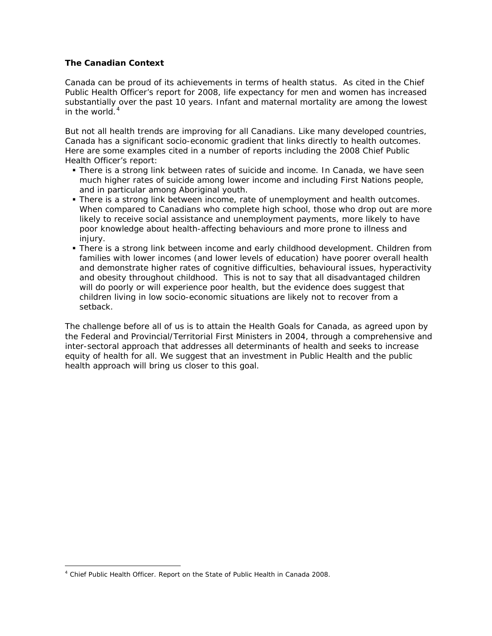# **The Canadian Context**

Canada can be proud of its achievements in terms of health status. As cited in the Chief Public Health Officer's report for 2008, life expectancy for men and women has increased substantially over the past 10 years. Infant and maternal mortality are among the lowest in the world. $4$ 

But not all health trends are improving for all Canadians. Like many developed countries, Canada has a significant socio-economic gradient that links directly to health outcomes. Here are some examples cited in a number of reports including the 2008 Chief Public Health Officer's report:

- There is a strong link between rates of suicide and income. In Canada, we have seen much higher rates of suicide among lower income and including First Nations people, and in particular among Aboriginal youth.
- There is a strong link between income, rate of unemployment and health outcomes. When compared to Canadians who complete high school, those who drop out are more likely to receive social assistance and unemployment payments, more likely to have poor knowledge about health-affecting behaviours and more prone to illness and injury.
- There is a strong link between income and early childhood development. Children from families with lower incomes (and lower levels of education) have poorer overall health and demonstrate higher rates of cognitive difficulties, behavioural issues, hyperactivity and obesity throughout childhood. This is not to say that all disadvantaged children will do poorly or will experience poor health, but the evidence does suggest that children living in low socio-economic situations are likely not to recover from a setback.

The challenge before all of us is to attain the *Health Goals for Canada*, as agreed upon by the Federal and Provincial/Territorial First Ministers in 2004, through a comprehensive and inter-sectoral approach that addresses all determinants of health and seeks to increase equity of health for all. We suggest that an investment in Public Health and the public health approach will bring us closer to this goal.

 $\overline{a}$ 

<span id="page-3-0"></span><sup>&</sup>lt;sup>4</sup> Chief Public Health Officer. Report on the State of Public Health in Canada 2008.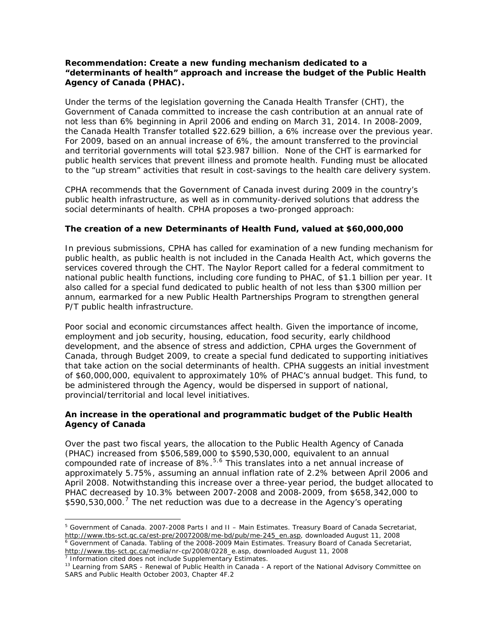# *Recommendation: Create a new funding mechanism dedicated to a "determinants of health" approach and increase the budget of the Public Health Agency of Canada (PHAC).*

Under the terms of the legislation governing the Canada Health Transfer (CHT), the Government of Canada committed to increase the cash contribution at an annual rate of not less than 6% beginning in April 2006 and ending on March 31, 2014. In 2008-2009, the Canada Health Transfer totalled \$22.629 billion, a 6% increase over the previous year. For 2009, based on an annual increase of 6%, the amount transferred to the provincial and territorial governments will total \$23.987 billion. None of the CHT is earmarked for public health services that prevent illness and promote health. Funding must be allocated to the "up stream" activities that result in cost-savings to the health care delivery system.

CPHA recommends that the Government of Canada invest during 2009 in the country's public health infrastructure, as well as in community-derived solutions that address the social determinants of health. CPHA proposes a two-pronged approach:

#### **The creation of a new Determinants of Health Fund, valued at \$60,000,000**

In previous submissions, CPHA has called for examination of a new funding mechanism for public health, as public health is not included in the Canada Health Act, which governs the services covered through the CHT. The Naylor Report called for a federal commitment to national public health functions, including core funding to PHAC, of \$1.1 billion per year. It also called for a special fund dedicated to public health of not less than \$300 million per annum, earmarked for a new Public Health Partnerships Program to strengthen general P/T public health infrastructure.

Poor social and economic circumstances affect health. Given the importance of income, employment and job security, housing, education, food security, early childhood development, and the absence of stress and addiction, CPHA urges the Government of Canada, through Budget 2009, to create a special fund dedicated to supporting initiatives that take action on the social determinants of health. CPHA suggests an initial investment of \$60,000,000, equivalent to approximately 10% of PHAC's annual budget. This fund, to be administered through the Agency, would be dispersed in support of national, provincial/territorial and local level initiatives.

# **An increase in the operational and programmatic budget of the Public Health Agency of Canada**

Over the past two fiscal years, the allocation to the Public Health Agency of Canada (PHAC) increased from \$506,589,000 to \$590,530,000, equivalent to an annual compounded rate of increase of 8%.<sup>[5](#page-4-0),[6](#page-4-1)</sup> This translates into a net annual increase of approximately 5.75%, assuming an annual inflation rate of 2.2% between April 2006 and April 2008. Notwithstanding this increase over a three-year period, the budget allocated to PHAC decreased by 10.3% between 2007-2008 and 2008-2009, from \$658,342,000 to \$590,530,000.<sup>[7](#page-4-2)</sup> The net reduction was due to a decrease in the Agency's operating

<span id="page-4-2"></span><span id="page-4-1"></span>[http://www.tbs-sct.gc.ca/m](http://www.tbs-sct.gc.ca/)edia/nr-cp/2008/0228\_e.asp, downloaded August 11, 2008 7 Information cited does not include Supplementary Estimates.

 $\overline{a}$ 

<span id="page-4-0"></span><sup>&</sup>lt;sup>5</sup> Government of Canada. 2007-2008 Parts I and II – Main Estimates. Treasury Board of Canada Secretariat, [http://www.tbs-sct.gc.ca/est-pre/20072008/me-bd/pub/me-245\\_en.asp](http://www.tbs-sct.gc.ca/est-pre/20072008/me-bd/pub/me-245_en.asp), downloaded August 11, 2008 Government of Canada. Tabling of the 2008-2009 Main Estimates. Treasury Board of Canada Secretariat,

<sup>13</sup> Learning from SARS - Renewal of Public Health in Canada - A report of the National Advisory Committee on SARS and Public Health October 2003, Chapter 4F.2